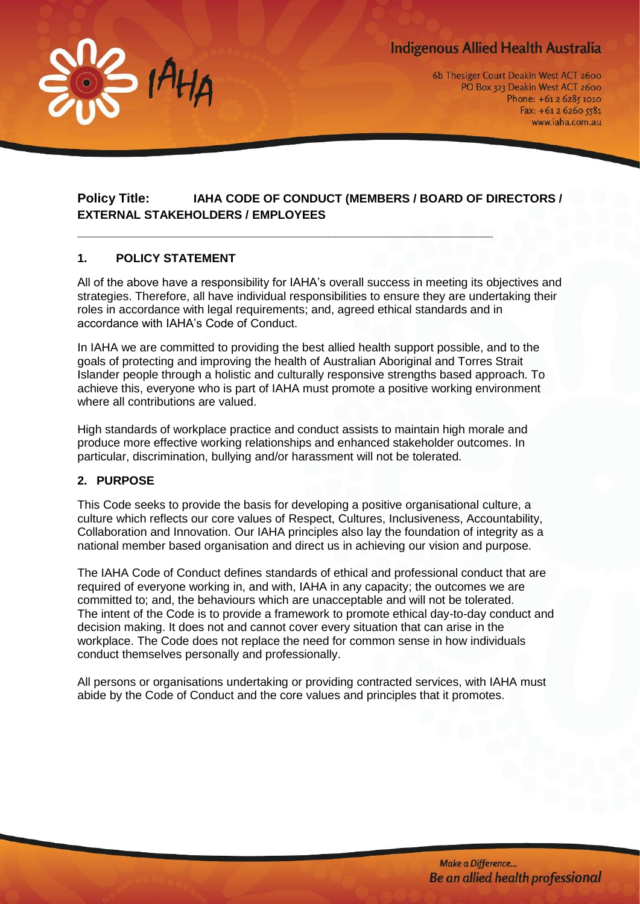# **Indigenous Allied Health Australia**



6b Thesiger Court Deakin West ACT 2600 PO Box 323 Deakin West ACT 2600 Phone: +61 2 6285 1010 Fax:  $+61262605581$ www.iaha.com.au

# **Policy Title: IAHA CODE OF CONDUCT (MEMBERS / BOARD OF DIRECTORS / EXTERNAL STAKEHOLDERS / EMPLOYEES**

**\_\_\_\_\_\_\_\_\_\_\_\_\_\_\_\_\_\_\_\_\_\_\_\_\_\_\_\_\_\_\_\_\_\_\_\_\_\_\_\_\_\_\_\_\_\_\_\_\_\_\_\_\_\_\_\_\_\_**

## **1. POLICY STATEMENT**

All of the above have a responsibility for IAHA's overall success in meeting its objectives and strategies. Therefore, all have individual responsibilities to ensure they are undertaking their roles in accordance with legal requirements; and, agreed ethical standards and in accordance with IAHA's Code of Conduct.

In IAHA we are committed to providing the best allied health support possible, and to the goals of protecting and improving the health of Australian Aboriginal and Torres Strait Islander people through a holistic and culturally responsive strengths based approach. To achieve this, everyone who is part of IAHA must promote a positive working environment where all contributions are valued.

High standards of workplace practice and conduct assists to maintain high morale and produce more effective working relationships and enhanced stakeholder outcomes. In particular, discrimination, bullying and/or harassment will not be tolerated.

#### **2. PURPOSE**

This Code seeks to provide the basis for developing a positive organisational culture, a culture which reflects our core values of Respect, Cultures, Inclusiveness, Accountability, Collaboration and Innovation. Our IAHA principles also lay the foundation of integrity as a national member based organisation and direct us in achieving our vision and purpose.

The IAHA Code of Conduct defines standards of ethical and professional conduct that are required of everyone working in, and with, IAHA in any capacity; the outcomes we are committed to; and, the behaviours which are unacceptable and will not be tolerated. The intent of the Code is to provide a framework to promote ethical day-to-day conduct and decision making. It does not and cannot cover every situation that can arise in the workplace. The Code does not replace the need for common sense in how individuals conduct themselves personally and professionally.

All persons or organisations undertaking or providing contracted services, with IAHA must abide by the Code of Conduct and the core values and principles that it promotes.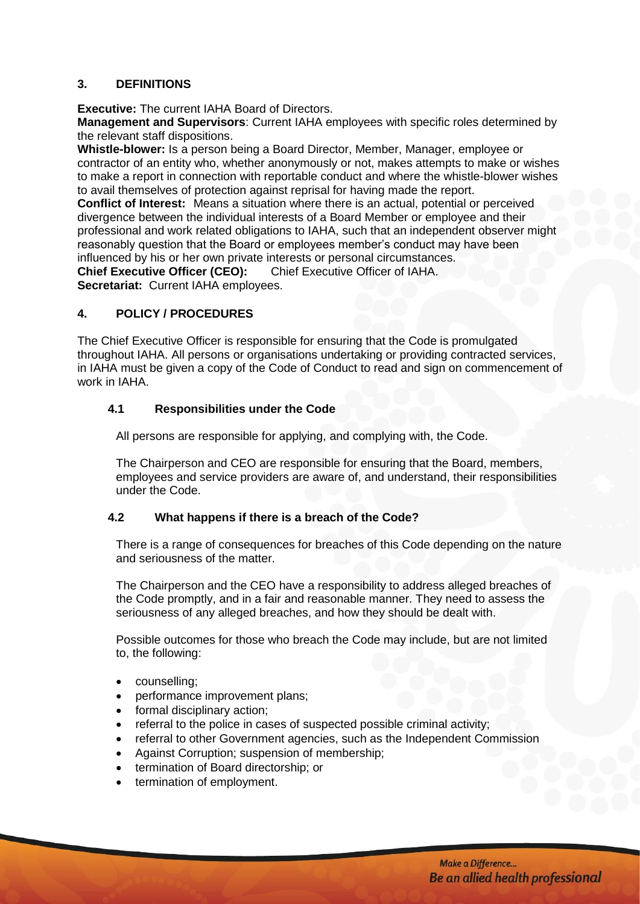#### **3. DEFINITIONS**

**Executive:** The current IAHA Board of Directors.

**Management and Supervisors**: Current IAHA employees with specific roles determined by the relevant staff dispositions.

**Whistle-blower:** Is a person being a Board Director, Member, Manager, employee or contractor of an entity who, whether anonymously or not, makes attempts to make or wishes to make a report in connection with reportable conduct and where the whistle-blower wishes to avail themselves of protection against reprisal for having made the report.

**Conflict of Interest:** Means a situation where there is an actual, potential or perceived divergence between the individual interests of a Board Member or employee and their professional and work related obligations to IAHA, such that an independent observer might reasonably question that the Board or employees member's conduct may have been influenced by his or her own private interests or personal circumstances. **Chief Executive Officer (CEO):** Chief Executive Officer of IAHA.

**Secretariat:** Current IAHA employees.

#### **4. POLICY / PROCEDURES**

The Chief Executive Officer is responsible for ensuring that the Code is promulgated throughout IAHA. All persons or organisations undertaking or providing contracted services, in IAHA must be given a copy of the Code of Conduct to read and sign on commencement of work in IAHA

## **4.1 Responsibilities under the Code**

All persons are responsible for applying, and complying with, the Code.

The Chairperson and CEO are responsible for ensuring that the Board, members, employees and service providers are aware of, and understand, their responsibilities under the Code.

#### **4.2 What happens if there is a breach of the Code?**

There is a range of consequences for breaches of this Code depending on the nature and seriousness of the matter.

The Chairperson and the CEO have a responsibility to address alleged breaches of the Code promptly, and in a fair and reasonable manner. They need to assess the seriousness of any alleged breaches, and how they should be dealt with.

Possible outcomes for those who breach the Code may include, but are not limited to, the following:

- counselling;
- performance improvement plans;
- formal disciplinary action;
- referral to the police in cases of suspected possible criminal activity;
- referral to other Government agencies, such as the Independent Commission
- Against Corruption; suspension of membership;
- termination of Board directorship; or
- termination of employment.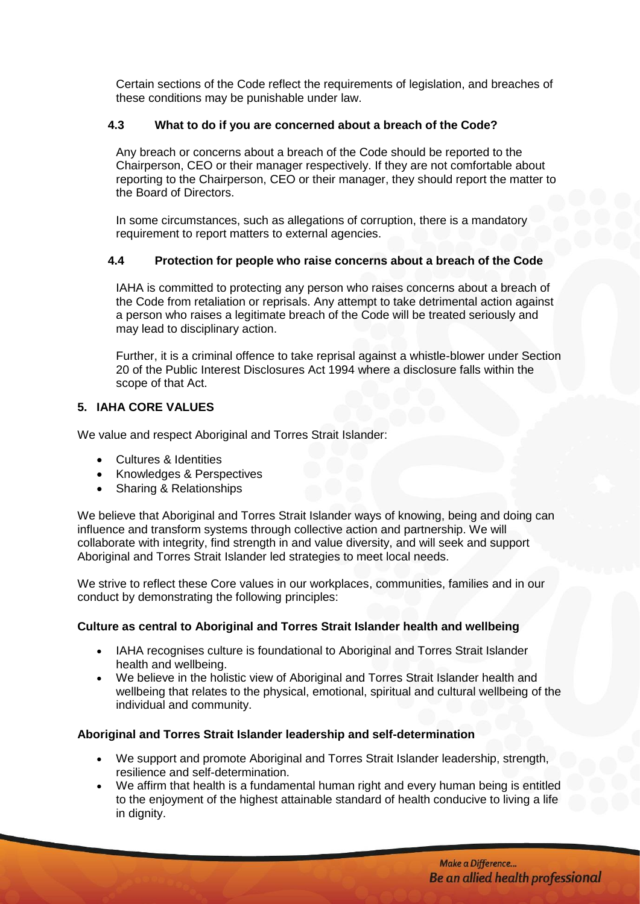Certain sections of the Code reflect the requirements of legislation, and breaches of these conditions may be punishable under law.

## **4.3 What to do if you are concerned about a breach of the Code?**

Any breach or concerns about a breach of the Code should be reported to the Chairperson, CEO or their manager respectively. If they are not comfortable about reporting to the Chairperson, CEO or their manager, they should report the matter to the Board of Directors.

In some circumstances, such as allegations of corruption, there is a mandatory requirement to report matters to external agencies.

#### **4.4 Protection for people who raise concerns about a breach of the Code**

IAHA is committed to protecting any person who raises concerns about a breach of the Code from retaliation or reprisals. Any attempt to take detrimental action against a person who raises a legitimate breach of the Code will be treated seriously and may lead to disciplinary action.

Further, it is a criminal offence to take reprisal against a whistle-blower under Section 20 of the Public Interest Disclosures Act 1994 where a disclosure falls within the scope of that Act.

## **5. IAHA CORE VALUES**

We value and respect Aboriginal and Torres Strait Islander:

- Cultures & Identities
- Knowledges & Perspectives
- Sharing & Relationships

We believe that Aboriginal and Torres Strait Islander ways of knowing, being and doing can influence and transform systems through collective action and partnership. We will collaborate with integrity, find strength in and value diversity, and will seek and support Aboriginal and Torres Strait Islander led strategies to meet local needs.

We strive to reflect these Core values in our workplaces, communities, families and in our conduct by demonstrating the following principles:

#### **Culture as central to Aboriginal and Torres Strait Islander health and wellbeing**

- IAHA recognises culture is foundational to Aboriginal and Torres Strait Islander health and wellbeing.
- We believe in the holistic view of Aboriginal and Torres Strait Islander health and wellbeing that relates to the physical, emotional, spiritual and cultural wellbeing of the individual and community.

#### **Aboriginal and Torres Strait Islander leadership and self-determination**

- We support and promote Aboriginal and Torres Strait Islander leadership, strength, resilience and self-determination.
- We affirm that health is a fundamental human right and every human being is entitled to the enjoyment of the highest attainable standard of health conducive to living a life in dignity.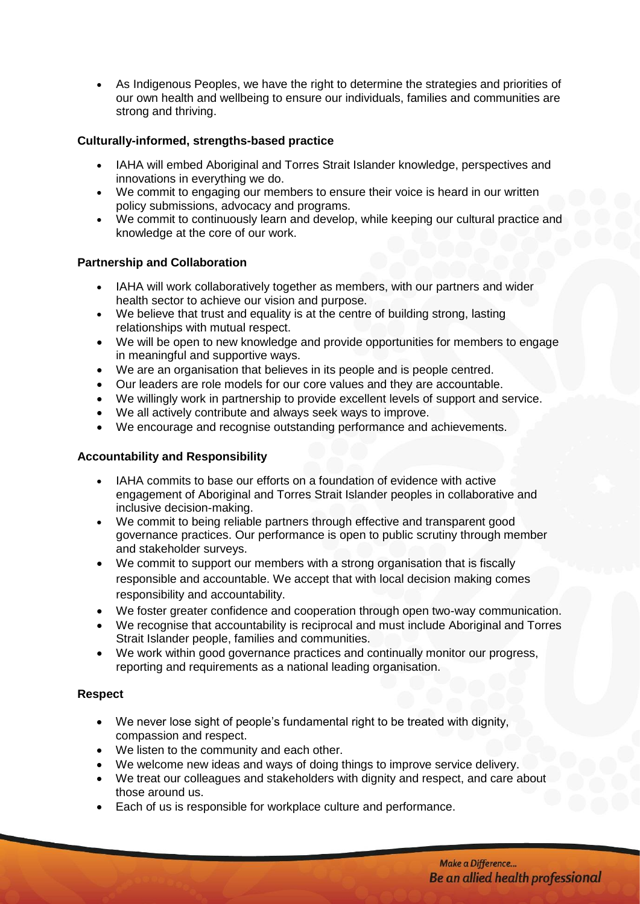• As Indigenous Peoples, we have the right to determine the strategies and priorities of our own health and wellbeing to ensure our individuals, families and communities are strong and thriving.

## **Culturally-informed, strengths-based practice**

- IAHA will embed Aboriginal and Torres Strait Islander knowledge, perspectives and innovations in everything we do.
- We commit to engaging our members to ensure their voice is heard in our written policy submissions, advocacy and programs.
- We commit to continuously learn and develop, while keeping our cultural practice and knowledge at the core of our work.

#### **Partnership and Collaboration**

- IAHA will work collaboratively together as members, with our partners and wider health sector to achieve our vision and purpose.
- We believe that trust and equality is at the centre of building strong, lasting relationships with mutual respect.
- We will be open to new knowledge and provide opportunities for members to engage in meaningful and supportive ways.
- We are an organisation that believes in its people and is people centred.
- Our leaders are role models for our core values and they are accountable.
- We willingly work in partnership to provide excellent levels of support and service.
- We all actively contribute and always seek ways to improve.
- We encourage and recognise outstanding performance and achievements.

#### **Accountability and Responsibility**

- IAHA commits to base our efforts on a foundation of evidence with active engagement of Aboriginal and Torres Strait Islander peoples in collaborative and inclusive decision-making.
- We commit to being reliable partners through effective and transparent good governance practices. Our performance is open to public scrutiny through member and stakeholder surveys.
- We commit to support our members with a strong organisation that is fiscally responsible and accountable. We accept that with local decision making comes responsibility and accountability.
- We foster greater confidence and cooperation through open two-way communication.
- We recognise that accountability is reciprocal and must include Aboriginal and Torres Strait Islander people, families and communities.
- We work within good governance practices and continually monitor our progress, reporting and requirements as a national leading organisation.

#### **Respect**

- We never lose sight of people's fundamental right to be treated with dignity, compassion and respect.
- We listen to the community and each other.
- We welcome new ideas and ways of doing things to improve service delivery.
- We treat our colleagues and stakeholders with dignity and respect, and care about those around us.
- Each of us is responsible for workplace culture and performance.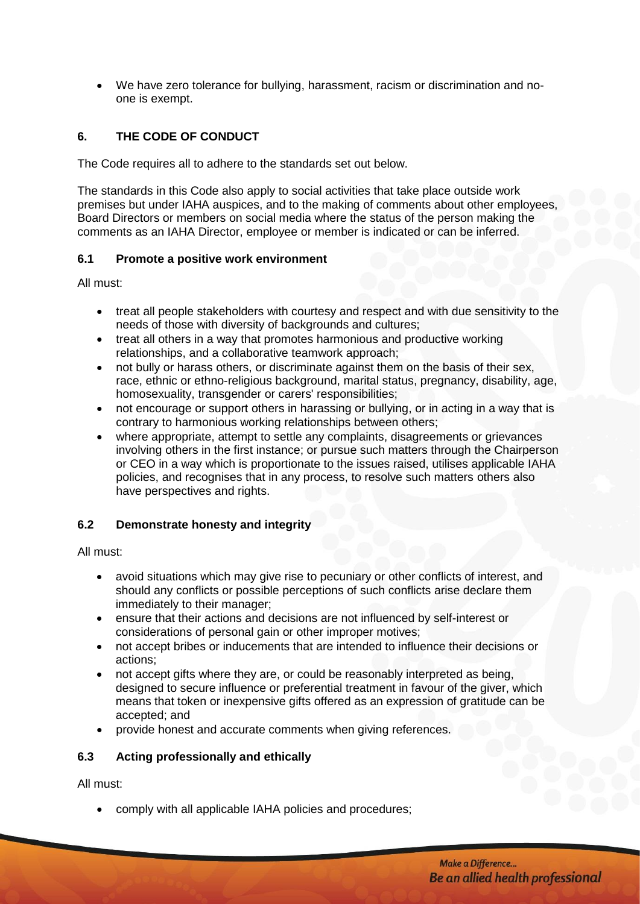• We have zero tolerance for bullying, harassment, racism or discrimination and noone is exempt.

# **6. THE CODE OF CONDUCT**

The Code requires all to adhere to the standards set out below.

The standards in this Code also apply to social activities that take place outside work premises but under IAHA auspices, and to the making of comments about other employees, Board Directors or members on social media where the status of the person making the comments as an IAHA Director, employee or member is indicated or can be inferred.

#### **6.1 Promote a positive work environment**

All must:

- treat all people stakeholders with courtesy and respect and with due sensitivity to the needs of those with diversity of backgrounds and cultures;
- treat all others in a way that promotes harmonious and productive working relationships, and a collaborative teamwork approach;
- not bully or harass others, or discriminate against them on the basis of their sex, race, ethnic or ethno-religious background, marital status, pregnancy, disability, age, homosexuality, transgender or carers' responsibilities;
- not encourage or support others in harassing or bullying, or in acting in a way that is contrary to harmonious working relationships between others;
- where appropriate, attempt to settle any complaints, disagreements or grievances involving others in the first instance; or pursue such matters through the Chairperson or CEO in a way which is proportionate to the issues raised, utilises applicable IAHA policies, and recognises that in any process, to resolve such matters others also have perspectives and rights.

#### **6.2 Demonstrate honesty and integrity**

All must:

- avoid situations which may give rise to pecuniary or other conflicts of interest, and should any conflicts or possible perceptions of such conflicts arise declare them immediately to their manager;
- ensure that their actions and decisions are not influenced by self-interest or considerations of personal gain or other improper motives;
- not accept bribes or inducements that are intended to influence their decisions or actions;
- not accept gifts where they are, or could be reasonably interpreted as being, designed to secure influence or preferential treatment in favour of the giver, which means that token or inexpensive gifts offered as an expression of gratitude can be accepted; and
- provide honest and accurate comments when giving references.

#### **6.3 Acting professionally and ethically**

All must:

• comply with all applicable IAHA policies and procedures;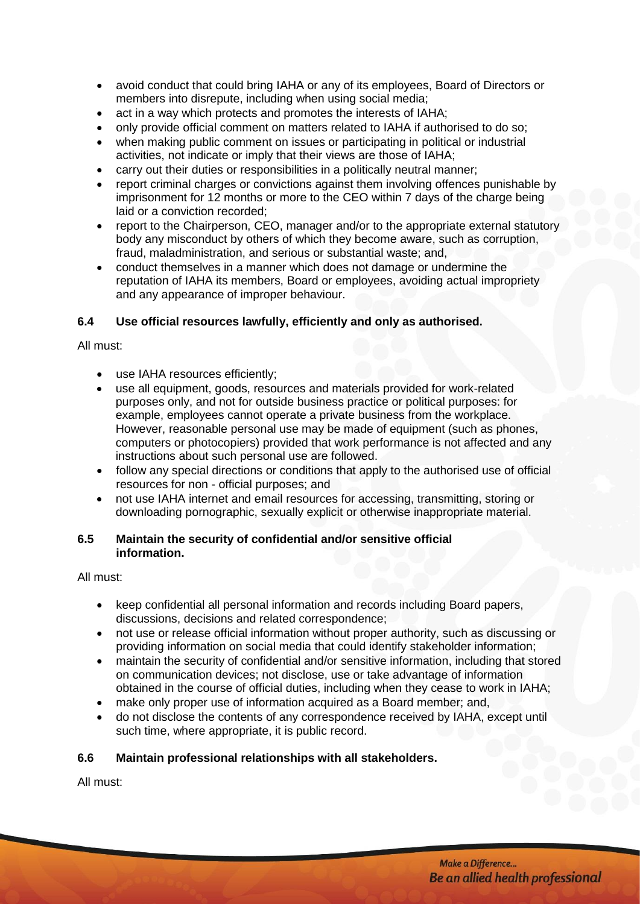- avoid conduct that could bring IAHA or any of its employees, Board of Directors or members into disrepute, including when using social media;
- act in a way which protects and promotes the interests of IAHA;
- only provide official comment on matters related to IAHA if authorised to do so:
- when making public comment on issues or participating in political or industrial activities, not indicate or imply that their views are those of IAHA;
- carry out their duties or responsibilities in a politically neutral manner;
- report criminal charges or convictions against them involving offences punishable by imprisonment for 12 months or more to the CEO within 7 days of the charge being laid or a conviction recorded;
- report to the Chairperson, CEO, manager and/or to the appropriate external statutory body any misconduct by others of which they become aware, such as corruption, fraud, maladministration, and serious or substantial waste; and,
- conduct themselves in a manner which does not damage or undermine the reputation of IAHA its members, Board or employees, avoiding actual impropriety and any appearance of improper behaviour.

## **6.4 Use official resources lawfully, efficiently and only as authorised.**

All must:

- use IAHA resources efficiently;
- use all equipment, goods, resources and materials provided for work-related purposes only, and not for outside business practice or political purposes: for example, employees cannot operate a private business from the workplace. However, reasonable personal use may be made of equipment (such as phones, computers or photocopiers) provided that work performance is not affected and any instructions about such personal use are followed.
- follow any special directions or conditions that apply to the authorised use of official resources for non - official purposes; and
- not use IAHA internet and email resources for accessing, transmitting, storing or downloading pornographic, sexually explicit or otherwise inappropriate material.

#### **6.5 Maintain the security of confidential and/or sensitive official information.**

All must:

- keep confidential all personal information and records including Board papers, discussions, decisions and related correspondence;
- not use or release official information without proper authority, such as discussing or providing information on social media that could identify stakeholder information;
- maintain the security of confidential and/or sensitive information, including that stored on communication devices; not disclose, use or take advantage of information obtained in the course of official duties, including when they cease to work in IAHA;
- make only proper use of information acquired as a Board member; and,
- do not disclose the contents of any correspondence received by IAHA, except until such time, where appropriate, it is public record.

#### **6.6 Maintain professional relationships with all stakeholders.**

All must: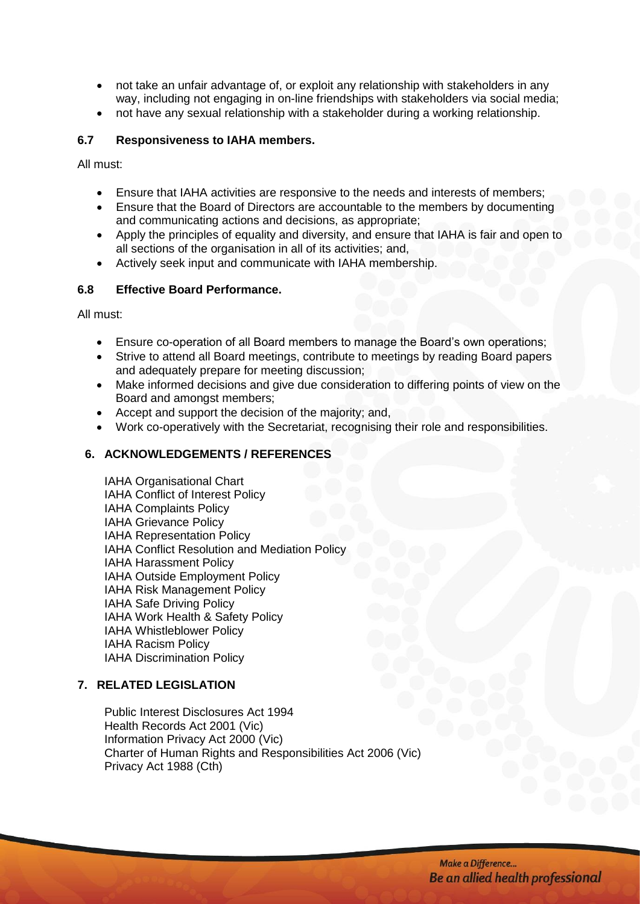- not take an unfair advantage of, or exploit any relationship with stakeholders in any way, including not engaging in on-line friendships with stakeholders via social media;
- not have any sexual relationship with a stakeholder during a working relationship.

#### **6.7 Responsiveness to IAHA members.**

All must:

- Ensure that IAHA activities are responsive to the needs and interests of members;
- Ensure that the Board of Directors are accountable to the members by documenting and communicating actions and decisions, as appropriate;
- Apply the principles of equality and diversity, and ensure that IAHA is fair and open to all sections of the organisation in all of its activities; and,
- Actively seek input and communicate with IAHA membership.

#### **6.8 Effective Board Performance.**

All must:

- Ensure co-operation of all Board members to manage the Board's own operations;
- Strive to attend all Board meetings, contribute to meetings by reading Board papers and adequately prepare for meeting discussion;
- Make informed decisions and give due consideration to differing points of view on the Board and amongst members;
- Accept and support the decision of the majority; and,
- Work co-operatively with the Secretariat, recognising their role and responsibilities.

#### **6. ACKNOWLEDGEMENTS / REFERENCES**

IAHA Organisational Chart IAHA Conflict of Interest Policy IAHA Complaints Policy IAHA Grievance Policy IAHA [Representation Policy](http://www.rmit.edu.au/browse;ID=n7y9crkaedx7z) IAHA Conflict Resolution and Mediation Policy IAHA Harassment Policy IAHA Outside Employment Policy IAHA Risk Management Policy IAHA Safe Driving Policy IAHA Work Health & Safety Policy IAHA Whistleblower Policy IAHA Racism Policy IAHA Discrimination Policy

#### **7. RELATED LEGISLATION**

Public Interest Disclosures Act 1994 Health Records Act 2001 (Vic) Information Privacy Act 2000 (Vic) Charter of Human Rights and Responsibilities Act 2006 (Vic) Privacy Act 1988 (Cth)